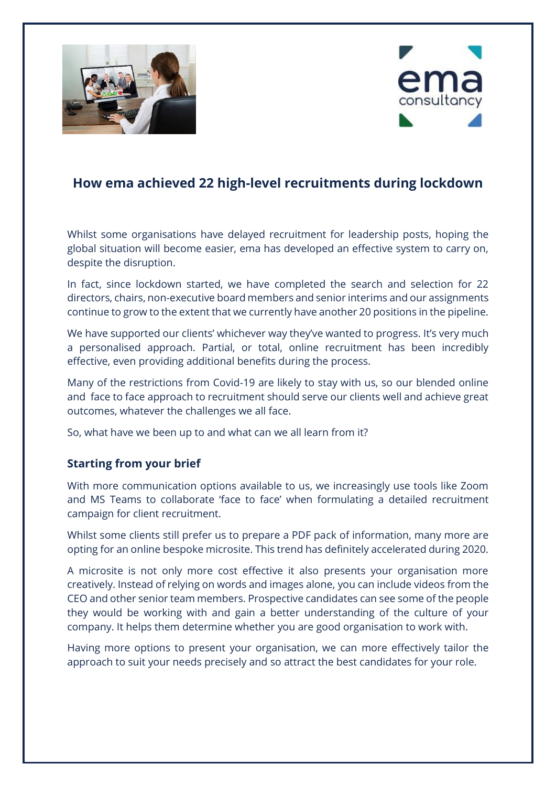



# **How ema achieved 22 high-level recruitments during lockdown**

Whilst some organisations have delayed recruitment for leadership posts, hoping the global situation will become easier, ema has developed an effective system to carry on, despite the disruption.

In fact, since lockdown started, we have completed the search and selection for 22 directors, chairs, non-executive board members and senior interims and our assignments continue to grow to the extent that we currently have another 20 positions in the pipeline.

We have supported our clients' whichever way they've wanted to progress. It's very much a personalised approach. Partial, or total, online recruitment has been incredibly effective, even providing additional benefits during the process.

Many of the restrictions from Covid-19 are likely to stay with us, so our blended online and face to face approach to recruitment should serve our clients well and achieve great outcomes, whatever the challenges we all face.

So, what have we been up to and what can we all learn from it?

# **Starting from your brief**

With more communication options available to us, we increasingly use tools like Zoom and MS Teams to collaborate 'face to face' when formulating a detailed recruitment campaign for client recruitment.

Whilst some clients still prefer us to prepare a PDF pack of information, many more are opting for an online bespoke microsite. This trend has definitely accelerated during 2020.

A microsite is not only more cost effective it also presents your organisation more creatively. Instead of relying on words and images alone, you can include videos from the CEO and other senior team members. Prospective candidates can see some of the people they would be working with and gain a better understanding of the culture of your company. It helps them determine whether you are good organisation to work with.

Having more options to present your organisation, we can more effectively tailor the approach to suit your needs precisely and so attract the best candidates for your role.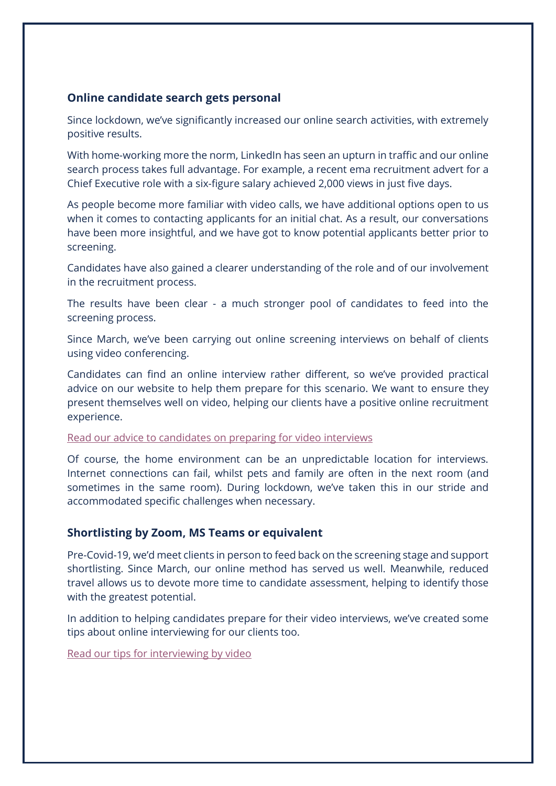# **Online candidate search gets personal**

Since lockdown, we've significantly increased our online search activities, with extremely positive results.

With home-working more the norm, LinkedIn has seen an upturn in traffic and our online search process takes full advantage. For example, a recent ema recruitment advert for a Chief Executive role with a six-figure salary achieved 2,000 views in just five days.

As people become more familiar with video calls, we have additional options open to us when it comes to contacting applicants for an initial chat. As a result, our conversations have been more insightful, and we have got to know potential applicants better prior to screening.

Candidates have also gained a clearer understanding of the role and of our involvement in the recruitment process.

The results have been clear - a much stronger pool of candidates to feed into the screening process.

Since March, we've been carrying out online screening interviews on behalf of clients using video conferencing.

Candidates can find an online interview rather different, so we've provided practical advice on our website to help them prepare for this scenario. We want to ensure they present themselves well on video, helping our clients have a positive online recruitment experience.

#### [Read our advice to candidates on preparing for video interviews](https://emaconsultancy.org.uk/our-news/interviewing-by-skype/)

Of course, the home environment can be an unpredictable location for interviews. Internet connections can fail, whilst pets and family are often in the next room (and sometimes in the same room). During lockdown, we've taken this in our stride and accommodated specific challenges when necessary.

## **Shortlisting by Zoom, MS Teams or equivalent**

Pre-Covid-19, we'd meet clients in person to feed back on the screening stage and support shortlisting. Since March, our online method has served us well. Meanwhile, reduced travel allows us to devote more time to candidate assessment, helping to identify those with the greatest potential.

In addition to helping candidates prepare for their video interviews, we've created some tips about online interviewing for our clients too.

[Read our tips for interviewing by video](https://emaconsultancy.org.uk/our-news/keep-calm-and-carry-on-recruiting/)